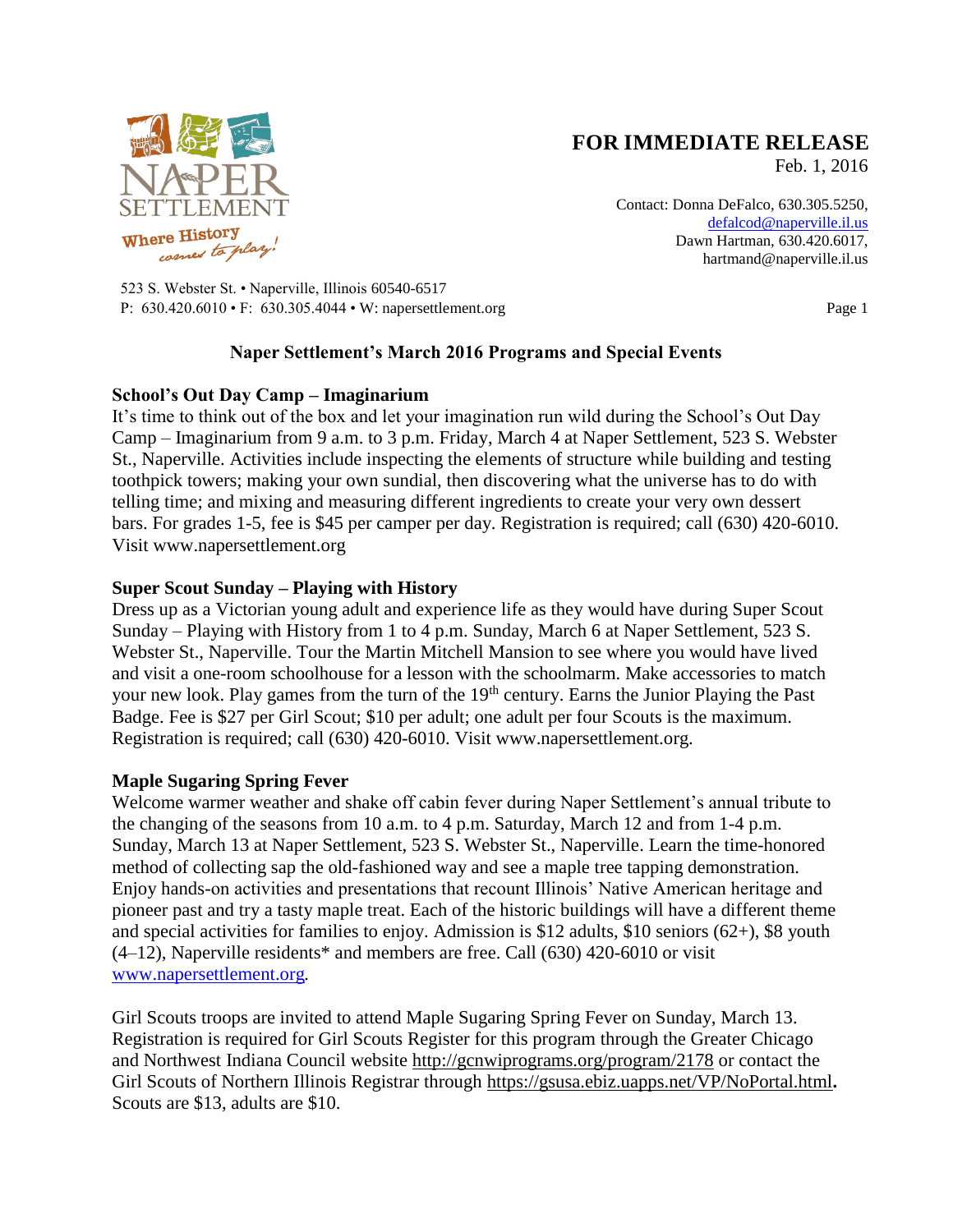

# **FOR IMMEDIATE RELEASE**

Feb. 1, 2016

Contact: Donna DeFalco, 630.305.5250, [defalcod@naperville.il.us](mailto:defalcod@naperville.il.us) Dawn Hartman, 630.420.6017, hartmand@naperville.il.us

523 S. Webster St. • Naperville, Illinois 60540-6517 P: 630.420.6010 • F: 630.305.4044 • W: napersettlement.org Page 1

# **Naper Settlement's March 2016 Programs and Special Events**

#### **School's Out Day Camp – Imaginarium**

It's time to think out of the box and let your imagination run wild during the School's Out Day Camp – Imaginarium from 9 a.m. to 3 p.m. Friday, March 4 at Naper Settlement, 523 S. Webster St., Naperville. Activities include inspecting the elements of structure while building and testing toothpick towers; making your own sundial, then discovering what the universe has to do with telling time; and mixing and measuring different ingredients to create your very own dessert bars. For grades 1-5, fee is \$45 per camper per day. Registration is required; call (630) 420-6010. Visit www.napersettlement.org

## **Super Scout Sunday – Playing with History**

Dress up as a Victorian young adult and experience life as they would have during Super Scout Sunday – Playing with History from 1 to 4 p.m. Sunday, March 6 at Naper Settlement, 523 S. Webster St., Naperville. Tour the Martin Mitchell Mansion to see where you would have lived and visit a one-room schoolhouse for a lesson with the schoolmarm. Make accessories to match your new look. Play games from the turn of the 19<sup>th</sup> century. Earns the Junior Playing the Past Badge. Fee is \$27 per Girl Scout; \$10 per adult; one adult per four Scouts is the maximum. Registration is required; call (630) 420-6010. Visit www.napersettlement.org.

## **Maple Sugaring Spring Fever**

Welcome warmer weather and shake off cabin fever during Naper Settlement's annual tribute to the changing of the seasons from 10 a.m. to 4 p.m. Saturday, March 12 and from 1-4 p.m. Sunday, March 13 at Naper Settlement, 523 S. Webster St., Naperville. Learn the time-honored method of collecting sap the old-fashioned way and see a maple tree tapping demonstration. Enjoy hands-on activities and presentations that recount Illinois' Native American heritage and pioneer past and try a tasty maple treat. Each of the historic buildings will have a different theme and special activities for families to enjoy. Admission is \$12 adults, \$10 seniors  $(62+)$ , \$8 youth  $(4–12)$ , Naperville residents\* and members are free. Call  $(630)$  420–6010 or visit [www.napersettlement.org](http://www.napersettlement.org/)*.*

Girl Scouts troops are invited to attend Maple Sugaring Spring Fever on Sunday, March 13. Registration is required for Girl Scouts Register for this program through the Greater Chicago and Northwest Indiana Council website <http://gcnwiprograms.org/program/2178> or contact the Girl Scouts of Northern Illinois Registrar through <https://gsusa.ebiz.uapps.net/VP/NoPortal.html>**.**  Scouts are \$13, adults are \$10.